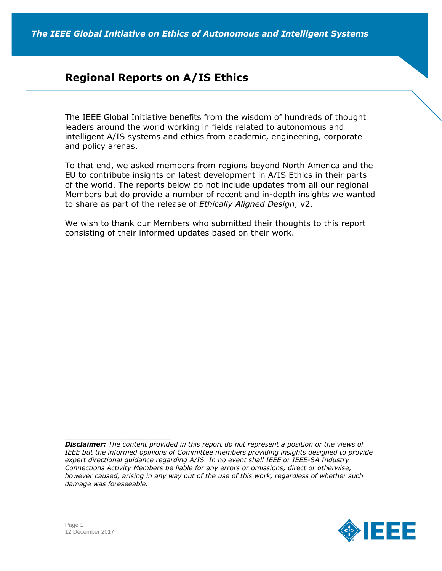# **Regional Reports on A/IS Ethics**

The IEEE Global Initiative benefits from the wisdom of hundreds of thought leaders around the world working in fields related to autonomous and intelligent A/IS systems and ethics from academic, engineering, corporate and policy arenas.

To that end, we asked members from regions beyond North America and the EU to contribute insights on latest development in A/IS Ethics in their parts of the world. The reports below do not include updates from all our regional Members but do provide a number of recent and in-depth insights we wanted to share as part of the release of *Ethically Aligned Design*, v2.

We wish to thank our Members who submitted their thoughts to this report consisting of their informed updates based on their work.

*Disclaimer: The content provided in this report do not represent a position or the views of*  IEEE but the informed opinions of Committee members providing insights designed to provide *expert directional guidance regarding A/IS. In no event shall IEEE or IEEE-SA Industry Connections Activity Members be liable for any errors or omissions, direct or otherwise, however caused, arising in any way out of the use of this work, regardless of whether such damage was foreseeable.*



 $\overline{\phantom{a}}$  , and the set of the set of the set of the set of the set of the set of the set of the set of the set of the set of the set of the set of the set of the set of the set of the set of the set of the set of the s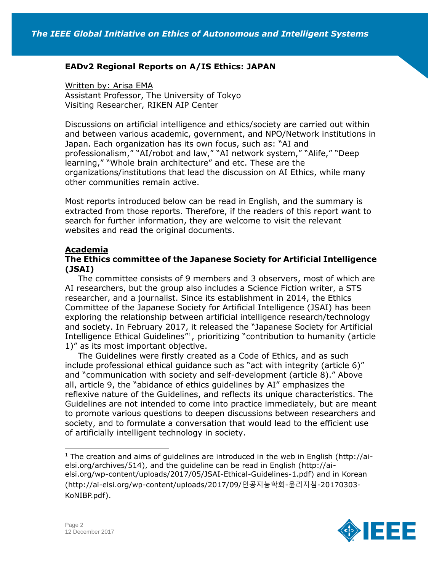### **EADv2 Regional Reports on A/IS Ethics: JAPAN**

Written by: Arisa EMA Assistant Professor, The University of Tokyo Visiting Researcher, RIKEN AIP Center

Discussions on artificial intelligence and ethics/society are carried out within and between various academic, government, and NPO/Network institutions in Japan. Each organization has its own focus, such as: "AI and professionalism," "AI/robot and law," "AI network system," "Alife," "Deep learning," "Whole brain architecture" and etc. These are the organizations/institutions that lead the discussion on AI Ethics, while many other communities remain active.

Most reports introduced below can be read in English, and the summary is extracted from those reports. Therefore, if the readers of this report want to search for further information, they are welcome to visit the relevant websites and read the original documents.

### **Academia**

#### **The Ethics committee of the Japanese Society for Artificial Intelligence (JSAI)**

The committee consists of 9 members and 3 observers, most of which are AI researchers, but the group also includes a Science Fiction writer, a STS researcher, and a journalist. Since its establishment in 2014, the Ethics Committee of the Japanese Society for Artificial Intelligence (JSAI) has been exploring the relationship between artificial intelligence research/technology and society. In February 2017, it released the "Japanese Society for Artificial Intelligence Ethical Guidelines"<sup>1</sup> , prioritizing "contribution to humanity (article 1)" as its most important objective.

The Guidelines were firstly created as a Code of Ethics, and as such include professional ethical guidance such as "act with integrity (article 6)" and "communication with society and self-development (article 8)." Above all, article 9, the "abidance of ethics guidelines by AI" emphasizes the reflexive nature of the Guidelines, and reflects its unique characteristics. The Guidelines are not intended to come into practice immediately, but are meant to promote various questions to deepen discussions between researchers and society, and to formulate a conversation that would lead to the efficient use of artificially intelligent technology in society.

<sup>1</sup> The creation and aims of quidelines are introduced in the web in English (http://aielsi.org/archives/514), and the guideline can be read in English (http://aielsi.org/wp-content/uploads/2017/05/JSAI-Ethical-Guidelines-1.pdf) and in Korean (http://ai-elsi.org/wp-content/uploads/2017/09/인공지능학회-윤리지침-20170303- KoNIBP.pdf).



l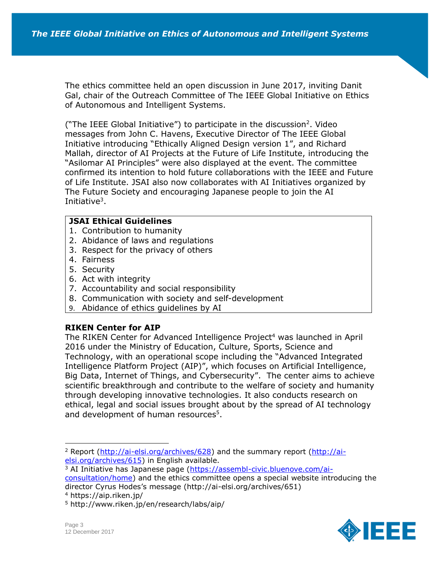The ethics committee held an open discussion in June 2017, inviting Danit Gal, chair of the Outreach Committee of The IEEE Global Initiative on Ethics of Autonomous and Intelligent Systems.

("The IEEE Global Initiative") to participate in the discussion<sup>2</sup>. Video messages from John C. Havens, Executive Director of The IEEE Global Initiative introducing "Ethically Aligned Design version 1", and Richard Mallah, director of AI Projects at the Future of Life Institute, introducing the "Asilomar AI Principles" were also displayed at the event. The committee confirmed its intention to hold future collaborations with the IEEE and Future of Life Institute. JSAI also now collaborates with AI Initiatives organized by The Future Society and encouraging Japanese people to join the AI Initiative<sup>3</sup>.

#### **JSAI Ethical Guidelines**

- 1. Contribution to humanity
- 2. Abidance of laws and regulations
- 3. Respect for the privacy of others
- 4. Fairness
- 5. Security
- 6. Act with integrity
- 7. Accountability and social responsibility
- 8. Communication with society and self-development
- 9. Abidance of ethics guidelines by AI

### **RIKEN Center for AIP**

The RIKEN Center for Advanced Intelligence Project<sup>4</sup> was launched in April 2016 under the Ministry of Education, Culture, Sports, Science and Technology, with an operational scope including the "Advanced Integrated Intelligence Platform Project (AIP)", which focuses on Artificial Intelligence, Big Data, Internet of Things, and Cybersecurity". The center aims to achieve scientific breakthrough and contribute to the welfare of society and humanity through developing innovative technologies. It also conducts research on ethical, legal and social issues brought about by the spread of AI technology and development of human resources<sup>5</sup>.



<sup>&</sup>lt;sup>2</sup> Report [\(http://ai-elsi.org/archives/628\)](http://ai-elsi.org/archives/628) and the summary report [\(http://ai](http://ai-elsi.org/archives/615)[elsi.org/archives/615\)](http://ai-elsi.org/archives/615) in English available.

<sup>&</sup>lt;sup>3</sup> AI Initiative has Japanese page [\(https://assembl-civic.bluenove.com/ai](https://assembl-civic.bluenove.com/ai-consultation/home)[consultation/home\)](https://assembl-civic.bluenove.com/ai-consultation/home) and the ethics committee opens a special website introducing the director Cyrus Hodes's message (http://ai-elsi.org/archives/651)

<sup>4</sup> https://aip.riken.jp/

<sup>5</sup> http://www.riken.jp/en/research/labs/aip/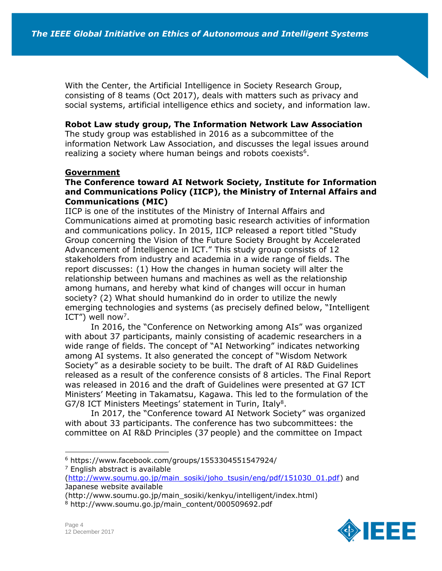With the Center, the Artificial Intelligence in Society Research Group, consisting of 8 teams (Oct 2017), deals with matters such as privacy and social systems, artificial intelligence ethics and society, and information law.

#### **Robot Law study group, The Information Network Law Association**

The study group was established in 2016 as a subcommittee of the information Network Law Association, and discusses the legal issues around realizing a society where human beings and robots coexists<sup>6</sup>.

#### **Government**

### **The Conference toward AI Network Society, Institute for Information and Communications Policy (IICP), the Ministry of Internal Affairs and Communications (MIC)**

IICP is one of the institutes of the Ministry of Internal Affairs and Communications aimed at promoting basic research activities of information and communications policy. In 2015, IICP released a report titled "Study Group concerning the Vision of the Future Society Brought by Accelerated Advancement of Intelligence in ICT." This study group consists of 12 stakeholders from industry and academia in a wide range of fields. The report discusses: (1) How the changes in human society will alter the relationship between humans and machines as well as the relationship among humans, and hereby what kind of changes will occur in human society? (2) What should humankind do in order to utilize the newly emerging technologies and systems (as precisely defined below, "Intelligent ICT") well now<sup>7</sup>.

In 2016, the "Conference on Networking among AIs" was organized with about 37 participants, mainly consisting of academic researchers in a wide range of fields. The concept of "AI Networking" indicates networking among AI systems. It also generated the concept of "Wisdom Network Society" as a desirable society to be built. The draft of AI R&D Guidelines released as a result of the conference consists of 8 articles. The Final Report was released in 2016 and the draft of Guidelines were presented at G7 ICT Ministers' Meeting in Takamatsu, Kagawa. This led to the formulation of the G7/8 ICT Ministers Meetings' statement in Turin, Italy<sup>8</sup>.

In 2017, the "Conference toward AI Network Society" was organized with about 33 participants. The conference has two subcommittees: the committee on AI R&D Principles (37 people) and the committee on Impact



<sup>6</sup> https://www.facebook.com/groups/1553304551547924/

 $<sup>7</sup>$  English abstract is available</sup>

[<sup>\(</sup>http://www.soumu.go.jp/main\\_sosiki/joho\\_tsusin/eng/pdf/151030\\_01.pdf\)](http://www.soumu.go.jp/main_sosiki/joho_tsusin/eng/pdf/151030_01.pdf) and Japanese website available

<sup>(</sup>http://www.soumu.go.jp/main\_sosiki/kenkyu/intelligent/index.html)

<sup>8</sup> http://www.soumu.go.jp/main\_content/000509692.pdf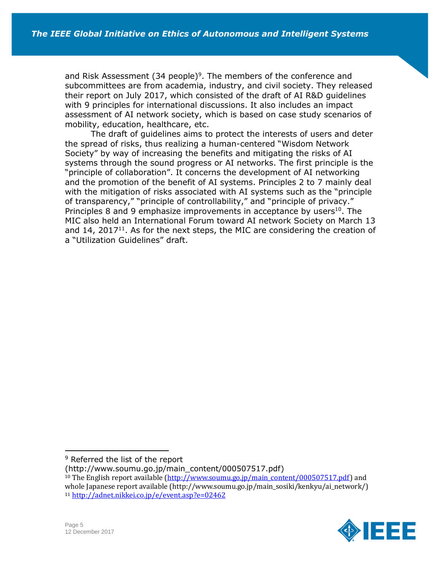and Risk Assessment  $(34$  people)<sup>9</sup>. The members of the conference and subcommittees are from academia, industry, and civil society. They released their report on July 2017, which consisted of the draft of AI R&D guidelines with 9 principles for international discussions. It also includes an impact assessment of AI network society, which is based on case study scenarios of mobility, education, healthcare, etc.

The draft of guidelines aims to protect the interests of users and deter the spread of risks, thus realizing a human-centered "Wisdom Network Society" by way of increasing the benefits and mitigating the risks of AI systems through the sound progress or AI networks. The first principle is the "principle of collaboration". It concerns the development of AI networking and the promotion of the benefit of AI systems. Principles 2 to 7 mainly deal with the mitigation of risks associated with AI systems such as the "principle of transparency," "principle of controllability," and "principle of privacy." Principles 8 and 9 emphasize improvements in acceptance by users $10$ . The MIC also held an International Forum toward AI network Society on March 13 and  $14$ , 2017<sup>11</sup>. As for the next steps, the MIC are considering the creation of a "Utilization Guidelines" draft.

(http://www.soumu.go.jp/main\_content/000507517.pdf)

<sup>&</sup>lt;sup>10</sup> The English report available [\(http://www.soumu.go.jp/main\\_content/000507517.pdf\)](http://www.soumu.go.jp/main_content/000507517.pdf) and whole Japanese report available (http://www.soumu.go.jp/main\_sosiki/kenkyu/ai\_network/) <sup>11</sup> <http://adnet.nikkei.co.jp/e/event.asp?e=02462>



<sup>&</sup>lt;sup>9</sup> Referred the list of the report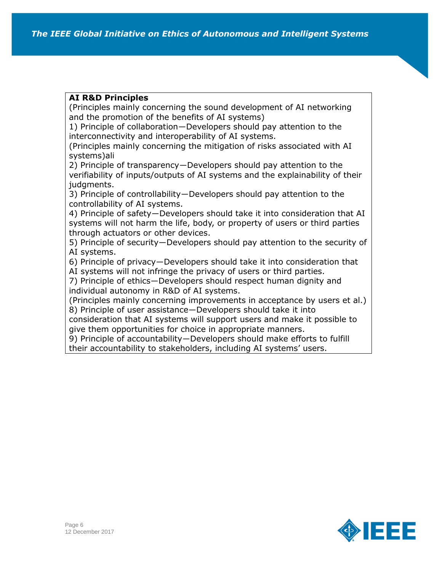# **AI R&D Principles**

(Principles mainly concerning the sound development of AI networking and the promotion of the benefits of AI systems)

1) Principle of collaboration―Developers should pay attention to the interconnectivity and interoperability of AI systems.

(Principles mainly concerning the mitigation of risks associated with AI systems)ali

2) Principle of transparency―Developers should pay attention to the verifiability of inputs/outputs of AI systems and the explainability of their judgments.

3) Principle of controllability―Developers should pay attention to the controllability of AI systems.

4) Principle of safety―Developers should take it into consideration that AI systems will not harm the life, body, or property of users or third parties through actuators or other devices.

5) Principle of security―Developers should pay attention to the security of AI systems.

6) Principle of privacy―Developers should take it into consideration that

AI systems will not infringe the privacy of users or third parties.

7) Principle of ethics―Developers should respect human dignity and individual autonomy in R&D of AI systems.

(Principles mainly concerning improvements in acceptance by users et al.) 8) Principle of user assistance―Developers should take it into

consideration that AI systems will support users and make it possible to give them opportunities for choice in appropriate manners.

9) Principle of accountability―Developers should make efforts to fulfill

their accountability to stakeholders, including AI systems' users.

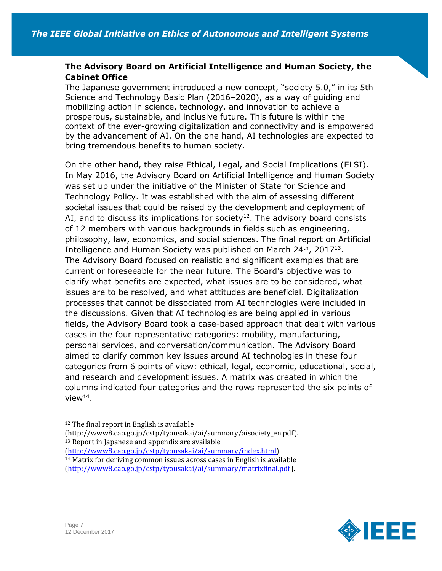# **The Advisory Board on Artificial Intelligence and Human Society, the Cabinet Office**

The Japanese government introduced a new concept, "society 5.0," in its 5th Science and Technology Basic Plan (2016–2020), as a way of guiding and mobilizing action in science, technology, and innovation to achieve a prosperous, sustainable, and inclusive future. This future is within the context of the ever-growing digitalization and connectivity and is empowered by the advancement of AI. On the one hand, AI technologies are expected to bring tremendous benefits to human society.

On the other hand, they raise Ethical, Legal, and Social Implications (ELSI). In May 2016, the Advisory Board on Artificial Intelligence and Human Society was set up under the initiative of the Minister of State for Science and Technology Policy. It was established with the aim of assessing different societal issues that could be raised by the development and deployment of AI, and to discuss its implications for society<sup>12</sup>. The advisory board consists of 12 members with various backgrounds in fields such as engineering, philosophy, law, economics, and social sciences. The final report on Artificial Intelligence and Human Society was published on March  $24<sup>th</sup>$ , 2017<sup>13</sup>. The Advisory Board focused on realistic and significant examples that are current or foreseeable for the near future. The Board's objective was to clarify what benefits are expected, what issues are to be considered, what issues are to be resolved, and what attitudes are beneficial. Digitalization processes that cannot be dissociated from AI technologies were included in the discussions. Given that AI technologies are being applied in various fields, the Advisory Board took a case-based approach that dealt with various cases in the four representative categories: mobility, manufacturing, personal services, and conversation/communication. The Advisory Board aimed to clarify common key issues around AI technologies in these four categories from 6 points of view: ethical, legal, economic, educational, social, and research and development issues. A matrix was created in which the columns indicated four categories and the rows represented the six points of view $^{14}$ .

[\(http://www8.cao.go.jp/cstp/tyousakai/ai/summary/index.html\)](http://www8.cao.go.jp/cstp/tyousakai/ai/summary/index.html) <sup>14</sup> Matrix for deriving common issues across cases in English is available





<sup>12</sup> The final report in English is available

<sup>(</sup>http://www8.cao.go.jp/cstp/tyousakai/ai/summary/aisociety\_en.pdf). <sup>13</sup> Report in Japanese and appendix are available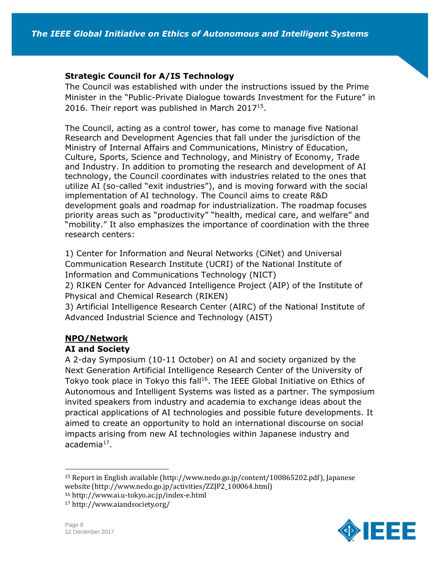## **Strategic Council for A/IS Technology**

The Council was established with under the instructions issued by the Prime Minister in the "Public-Private Dialogue towards Investment for the Future" in 2016. Their report was published in March 2017<sup>15</sup>.

The Council, acting as a control tower, has come to manage five National Research and Development Agencies that fall under the jurisdiction of the Ministry of Internal Affairs and Communications, Ministry of Education, Culture, Sports, Science and Technology, and Ministry of Economy, Trade and Industry. In addition to promoting the research and development of AI technology, the Council coordinates with industries related to the ones that utilize AI (so-called "exit industries"), and is moving forward with the social implementation of AI technology. The Council aims to create R&D development goals and roadmap for industrialization. The roadmap focuses priority areas such as "productivity" "health, medical care, and welfare" and "mobility." It also emphasizes the importance of coordination with the three research centers:

1) Center for Information and Neural Networks (CiNet) and Universal Communication Research Institute (UCRI) of the National Institute of Information and Communications Technology (NICT)

2) RIKEN Center for Advanced Intelligence Project (AIP) of the Institute of Physical and Chemical Research (RIKEN)

3) Artificial Intelligence Research Center (AIRC) of the National Institute of Advanced Industrial Science and Technology (AIST)

### **NPO/Network**

### **AI and Society**

A 2-day Symposium (10-11 October) on AI and society organized by the Next Generation Artificial Intelligence Research Center of the University of Tokyo took place in Tokyo this fall<sup>16</sup>. The IEEE Global Initiative on Ethics of Autonomous and Intelligent Systems was listed as a partner. The symposium invited speakers from industry and academia to exchange ideas about the practical applications of AI technologies and possible future developments. It aimed to create an opportunity to hold an international discourse on social impacts arising from new AI technologies within Japanese industry and academia<sup>17</sup>.

<sup>15</sup> Report in English available (http://www.nedo.go.jp/content/100865202.pdf), Japanese website (http://www.nedo.go.jp/activities/ZZJP2\_100064.html)

<sup>16</sup> http://www.ai.u-tokyo.ac.jp/index-e.html

<sup>17</sup> http://www.aiandsociety.org/



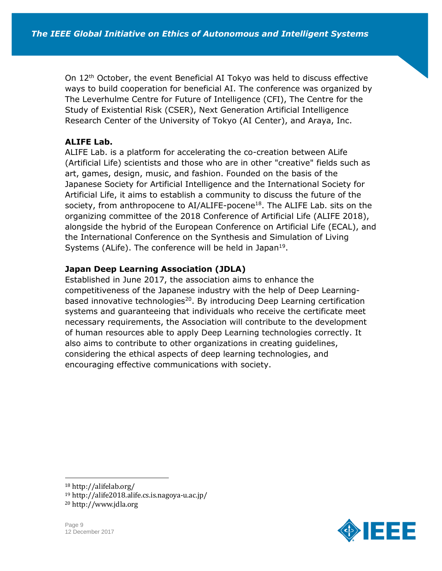On 12<sup>th</sup> October, the event Beneficial AI Tokyo was held to discuss effective ways to build cooperation for beneficial AI. The conference was organized by The Leverhulme Centre for Future of Intelligence (CFI), The Centre for the Study of Existential Risk (CSER), Next Generation Artificial Intelligence Research Center of the University of Tokyo (AI Center), and Araya, Inc.

# **ALIFE Lab.**

ALIFE Lab. is a platform for accelerating the co-creation between ALife (Artificial Life) scientists and those who are in other "creative" fields such as art, games, design, music, and fashion. Founded on the basis of the Japanese Society for Artificial Intelligence and the International Society for Artificial Life, it aims to establish a community to discuss the future of the society, from anthropocene to  $AI/ALIFE$ -pocene<sup>18</sup>. The ALIFE Lab. sits on the organizing committee of the 2018 Conference of Artificial Life (ALIFE 2018), alongside the hybrid of the European Conference on Artificial Life (ECAL), and the International Conference on the Synthesis and Simulation of Living Systems (ALife). The conference will be held in Japan<sup>19</sup>.

# **Japan Deep Learning Association (JDLA)**

Established in June 2017, the association aims to enhance the competitiveness of the Japanese industry with the help of Deep Learningbased innovative technologies<sup>20</sup>. By introducing Deep Learning certification systems and guaranteeing that individuals who receive the certificate meet necessary requirements, the Association will contribute to the development of human resources able to apply Deep Learning technologies correctly. It also aims to contribute to other organizations in creating guidelines, considering the ethical aspects of deep learning technologies, and encouraging effective communications with society.

<sup>19</sup> http://alife2018.alife.cs.is.nagoya-u.ac.jp/

<sup>20</sup> http://www.jdla.org





<sup>18</sup> http://alifelab.org/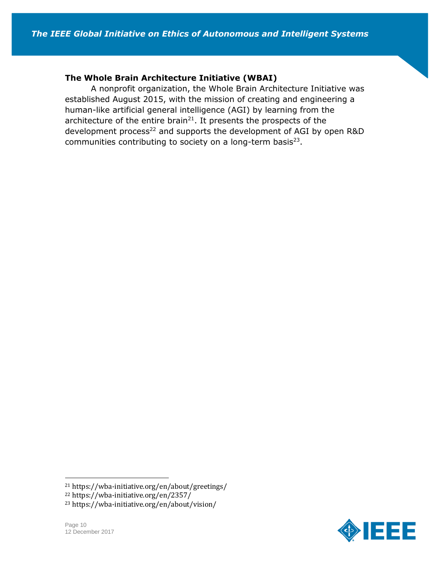#### **The Whole Brain Architecture Initiative (WBAI)**

A nonprofit organization, the Whole Brain Architecture Initiative was established August 2015, with the mission of creating and engineering a human-like artificial general intelligence (AGI) by learning from the architecture of the entire brain<sup>21</sup>. It presents the prospects of the development process<sup>22</sup> and supports the development of AGI by open R&D communities contributing to society on a long-term basis $^{23}$ .

<sup>23</sup> https://wba-initiative.org/en/about/vision/





<sup>21</sup> https://wba-initiative.org/en/about/greetings/

<sup>22</sup> https://wba-initiative.org/en/2357/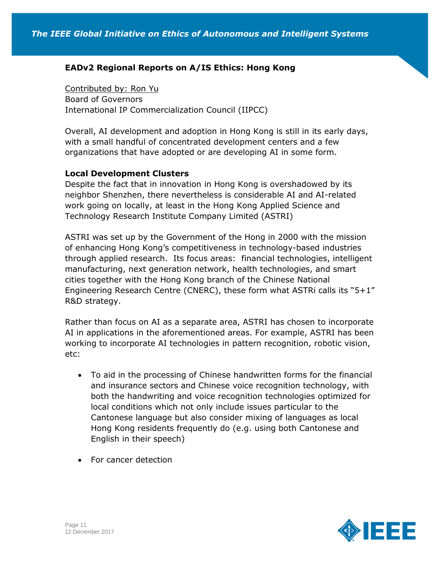# **EADv2 Regional Reports on A/IS Ethics: Hong Kong**

Contributed by: Ron Yu Board of Governors International IP Commercialization Council (IIPCC)

Overall, AI development and adoption in Hong Kong is still in its early days, with a small handful of concentrated development centers and a few organizations that have adopted or are developing AI in some form.

#### **Local Development Clusters**

Despite the fact that in innovation in Hong Kong is overshadowed by its neighbor Shenzhen, there nevertheless is considerable AI and AI-related work going on locally, at least in the Hong Kong Applied Science and Technology Research Institute Company Limited (ASTRI)

ASTRI was set up by the Government of the Hong in 2000 with the mission of enhancing Hong Kong's competitiveness in technology-based industries through applied research. Its focus areas: financial technologies, intelligent manufacturing, next generation network, health technologies, and smart cities together with the Hong Kong branch of the Chinese National Engineering Research Centre (CNERC), these form what ASTRi calls its "5+1" R&D strategy.

Rather than focus on AI as a separate area, ASTRI has chosen to incorporate AI in applications in the aforementioned areas. For example, ASTRI has been working to incorporate AI technologies in pattern recognition, robotic vision, etc:

- To aid in the processing of Chinese handwritten forms for the financial and insurance sectors and Chinese voice recognition technology, with both the handwriting and voice recognition technologies optimized for local conditions which not only include issues particular to the Cantonese language but also consider mixing of languages as local Hong Kong residents frequently do (e.g. using both Cantonese and English in their speech)
- For cancer detection

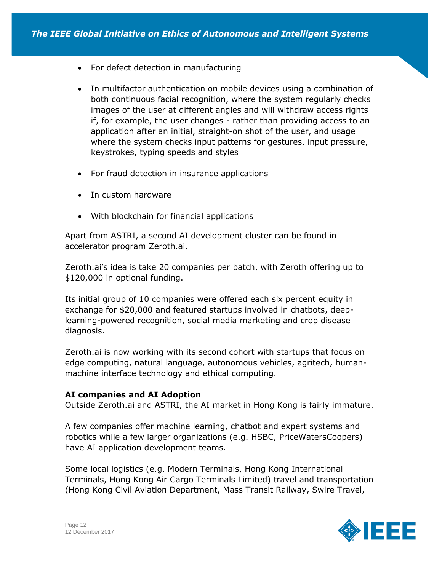- For defect detection in manufacturing
- In multifactor authentication on mobile devices using a combination of both continuous facial recognition, where the system regularly checks images of the user at different angles and will withdraw access rights if, for example, the user changes - rather than providing access to an application after an initial, straight-on shot of the user, and usage where the system checks input patterns for gestures, input pressure, keystrokes, typing speeds and styles
- For fraud detection in insurance applications
- In custom hardware
- With blockchain for financial applications

Apart from ASTRI, a second AI development cluster can be found in accelerator program Zeroth.ai.

Zeroth.ai's idea is take 20 companies per batch, with Zeroth offering up to \$120,000 in optional funding.

Its initial group of 10 companies were offered each six percent equity in exchange for \$20,000 and featured startups involved in chatbots, deeplearning-powered recognition, social media marketing and crop disease diagnosis.

Zeroth.ai is now working with its second cohort with startups that focus on edge computing, natural language, autonomous vehicles, agritech, humanmachine interface technology and ethical computing.

### **AI companies and AI Adoption**

Outside Zeroth.ai and ASTRI, the AI market in Hong Kong is fairly immature.

A few companies offer machine learning, chatbot and expert systems and robotics while a few larger organizations (e.g. HSBC, PriceWatersCoopers) have AI application development teams.

Some local logistics (e.g. Modern Terminals, Hong Kong International Terminals, Hong Kong Air Cargo Terminals Limited) travel and transportation (Hong Kong Civil Aviation Department, Mass Transit Railway, Swire Travel,

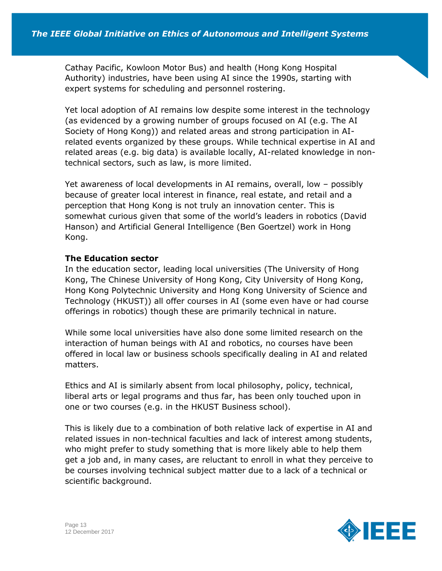Cathay Pacific, Kowloon Motor Bus) and health (Hong Kong Hospital Authority) industries, have been using AI since the 1990s, starting with expert systems for scheduling and personnel rostering.

Yet local adoption of AI remains low despite some interest in the technology (as evidenced by a growing number of groups focused on AI (e.g. The AI Society of Hong Kong)) and related areas and strong participation in AIrelated events organized by these groups. While technical expertise in AI and related areas (e.g. big data) is available locally, AI-related knowledge in nontechnical sectors, such as law, is more limited.

Yet awareness of local developments in AI remains, overall, low – possibly because of greater local interest in finance, real estate, and retail and a perception that Hong Kong is not truly an innovation center. This is somewhat curious given that some of the world's leaders in robotics (David Hanson) and Artificial General Intelligence (Ben Goertzel) work in Hong Kong.

## **The Education sector**

In the education sector, leading local universities (The University of Hong Kong, The Chinese University of Hong Kong, City University of Hong Kong, Hong Kong Polytechnic University and Hong Kong University of Science and Technology (HKUST)) all offer courses in AI (some even have or had course offerings in robotics) though these are primarily technical in nature.

While some local universities have also done some limited research on the interaction of human beings with AI and robotics, no courses have been offered in local law or business schools specifically dealing in AI and related matters.

Ethics and AI is similarly absent from local philosophy, policy, technical, liberal arts or legal programs and thus far, has been only touched upon in one or two courses (e.g. in the HKUST Business school).

This is likely due to a combination of both relative lack of expertise in AI and related issues in non-technical faculties and lack of interest among students, who might prefer to study something that is more likely able to help them get a job and, in many cases, are reluctant to enroll in what they perceive to be courses involving technical subject matter due to a lack of a technical or scientific background.

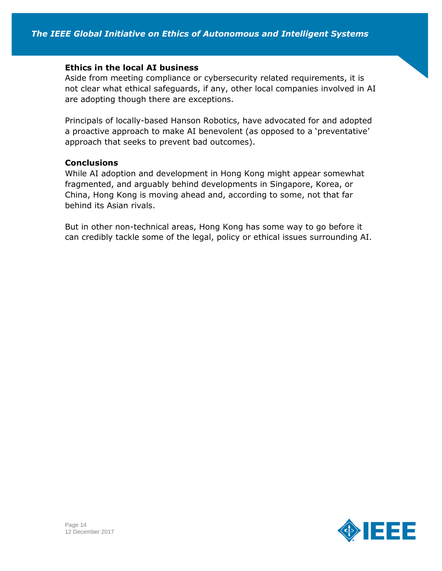#### **Ethics in the local AI business**

Aside from meeting compliance or cybersecurity related requirements, it is not clear what ethical safeguards, if any, other local companies involved in AI are adopting though there are exceptions.

Principals of locally-based Hanson Robotics, have advocated for and adopted a proactive approach to make AI benevolent (as opposed to a 'preventative' approach that seeks to prevent bad outcomes).

#### **Conclusions**

While AI adoption and development in Hong Kong might appear somewhat fragmented, and arguably behind developments in Singapore, Korea, or China, Hong Kong is moving ahead and, according to some, not that far behind its Asian rivals.

But in other non-technical areas, Hong Kong has some way to go before it can credibly tackle some of the legal, policy or ethical issues surrounding AI.

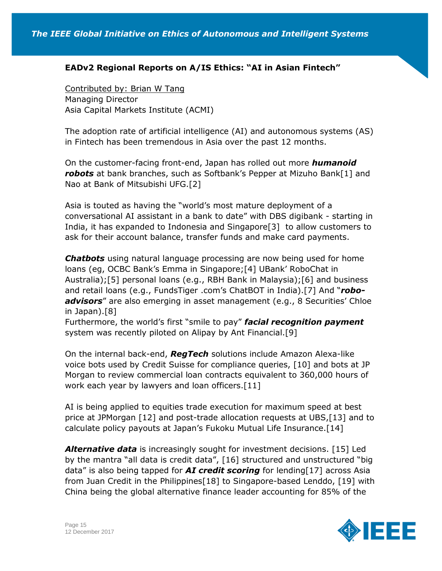# **EADv2 Regional Reports on A/IS Ethics: "AI in Asian Fintech"**

Contributed by: Brian W Tang Managing Director Asia Capital Markets Institute (ACMI)

The adoption rate of artificial intelligence (AI) and autonomous systems (AS) in Fintech has been tremendous in Asia over the past 12 months.

On the customer-facing front-end, Japan has rolled out more *humanoid robots* at bank branches, such as Softbank's Pepper at Mizuho Bank[1] and Nao at Bank of Mitsubishi UFG.[2]

Asia is touted as having the "world's most mature deployment of a conversational AI assistant in a bank to date" with DBS digibank - starting in India, it has expanded to Indonesia and Singapore[3] to allow customers to ask for their account balance, transfer funds and make card payments.

*Chatbots* using natural language processing are now being used for home loans (eg, OCBC Bank's Emma in Singapore;[4] UBank' RoboChat in Australia);[5] personal loans (e.g., RBH Bank in Malaysia);[6] and business and retail loans (e.g., FundsTiger .com's ChatBOT in India).[7] And "*roboadvisors*" are also emerging in asset management (e.g., 8 Securities' Chloe in Japan).[8]

Furthermore, the world's first "smile to pay" *facial recognition payment* system was recently piloted on Alipay by Ant Financial.[9]

On the internal back-end, *RegTech* solutions include Amazon Alexa-like voice bots used by Credit Suisse for compliance queries, [10] and bots at JP Morgan to review commercial loan contracts equivalent to 360,000 hours of work each year by lawyers and loan officers.[11]

AI is being applied to equities trade execution for maximum speed at best price at JPMorgan [12] and post-trade allocation requests at UBS,[13] and to calculate policy payouts at Japan's Fukoku Mutual Life Insurance.[14]

*Alternative data* is increasingly sought for investment decisions. [15] Led by the mantra "all data is credit data", [16] structured and unstructured "big data" is also being tapped for *AI credit scoring* for lending[17] across Asia from Juan Credit in the Philippines[18] to Singapore-based Lenddo, [19] with China being the global alternative finance leader accounting for 85% of the

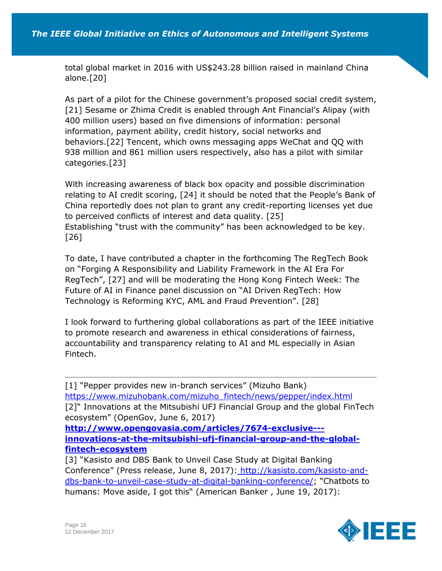total global market in 2016 with US\$243.28 billion raised in mainland China alone.[20]

As part of a pilot for the Chinese government's proposed social credit system, [21] Sesame or Zhima Credit is enabled through Ant Financial's Alipay (with 400 million users) based on five dimensions of information: personal information, payment ability, credit history, social networks and behaviors.[22] Tencent, which owns messaging apps WeChat and QQ with 938 million and 861 million users respectively, also has a pilot with similar categories.[23]

With increasing awareness of black box opacity and possible discrimination relating to AI credit scoring, [24] it should be noted that the People's Bank of China reportedly does not plan to grant any credit-reporting licenses yet due to perceived conflicts of interest and data quality. [25] Establishing "trust with the community" has been acknowledged to be key. [26]

To date, I have contributed a chapter in the forthcoming The RegTech Book on "Forging A Responsibility and Liability Framework in the AI Era For RegTech", [27] and will be moderating the Hong Kong Fintech Week: The Future of AI in Finance panel discussion on "AI Driven RegTech: How Technology is Reforming KYC, AML and Fraud Prevention". [28]

I look forward to furthering global collaborations as part of the IEEE initiative to promote research and awareness in ethical considerations of fairness, accountability and transparency relating to AI and ML especially in Asian Fintech.

[1] "Pepper provides new in-branch services" (Mizuho Bank[\)](https://www.mizuhobank.com/mizuho_fintech/news/pepper/index.html) [https://www.mizuhobank.com/mizuho\\_fintech/news/pepper/index.html](https://www.mizuhobank.com/mizuho_fintech/news/pepper/index.html) [2]" Innovations at the Mitsubishi UFJ Financial Group and the global FinTech ecosystem" (OpenGov, June 6, 2017) **[http://www.opengovasia.com/articles/7674-exclusive--](http://www.opengovasia.com/articles/7674-exclusive---innovations-at-the-mitsubishi-ufj-financial-group-and-the-global-fintech-ecosystem) [innovations-at-the-mitsubishi-ufj-financial-group-and-the-global](http://www.opengovasia.com/articles/7674-exclusive---innovations-at-the-mitsubishi-ufj-financial-group-and-the-global-fintech-ecosystem)[fintech-ecosystem](http://www.opengovasia.com/articles/7674-exclusive---innovations-at-the-mitsubishi-ufj-financial-group-and-the-global-fintech-ecosystem)** [3] "Kasisto and DBS Bank to Unveil Case Study at Digital Banking Conference" (Press release, June 8, 2017)[:](http://kasisto.com/kasisto-and-dbs-bank-to-unveil-case-study-at-digital-banking-conference/) [http://kasisto.com/kasisto-and-](http://kasisto.com/kasisto-and-dbs-bank-to-unveil-case-study-at-digital-banking-conference/)

[dbs-bank-to-unveil-case-study-at-digital-banking-conference/](http://kasisto.com/kasisto-and-dbs-bank-to-unveil-case-study-at-digital-banking-conference/); "Chatbots to humans: Move aside, I got this" (American Banker , June 19, 2017)[:](https://www.americanbanker.com/news/chatbots-to-humans-move-aside-i-got-this)

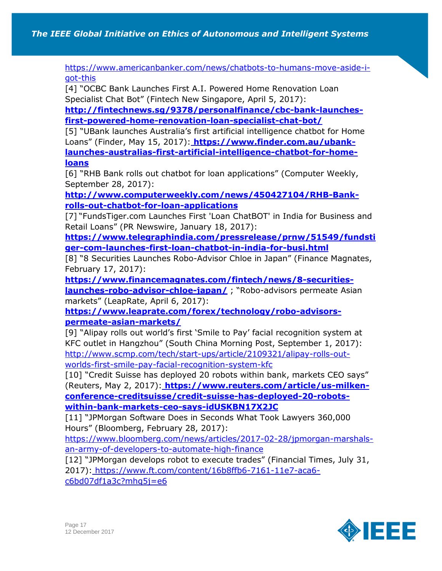[https://www.americanbanker.com/news/chatbots-to-humans-move-aside-i](https://www.americanbanker.com/news/chatbots-to-humans-move-aside-i-got-this)[got-this](https://www.americanbanker.com/news/chatbots-to-humans-move-aside-i-got-this)

[4] "OCBC Bank Launches First A.I. Powered Home Renovation Loan Specialist Chat Bot" (Fintech New Singapore, April 5, 2017):

**[http://fintechnews.sg/9378/personalfinance/cbc-bank-launches](http://fintechnews.sg/9378/personalfinance/cbc-bank-launches-first-powered-home-renovation-loan-specialist-chat-bot/)[first-powered-home-renovation-loan-specialist-chat-bot/](http://fintechnews.sg/9378/personalfinance/cbc-bank-launches-first-powered-home-renovation-loan-specialist-chat-bot/)**

[5] "UBank launches Australia's first artificial intelligence chatbot for Home Loans" (Finder, May 15, 2017)[:](https://www.finder.com.au/ubank-launches-australias-first-artificial-intelligence-chatbot-for-home-loans) **[https://www.finder.com.au/ubank](https://www.finder.com.au/ubank-launches-australias-first-artificial-intelligence-chatbot-for-home-loans)[launches-australias-first-artificial-intelligence-chatbot-for-home](https://www.finder.com.au/ubank-launches-australias-first-artificial-intelligence-chatbot-for-home-loans)[loans](https://www.finder.com.au/ubank-launches-australias-first-artificial-intelligence-chatbot-for-home-loans)**

[6] "RHB Bank rolls out chatbot for loan applications" (Computer Weekly, September 28, 2017)[:](http://www.computerweekly.com/news/450427104/RHB-Bank-rolls-out-chatbot-for-loan-applications)

**[http://www.computerweekly.com/news/450427104/RHB-Bank](http://www.computerweekly.com/news/450427104/RHB-Bank-rolls-out-chatbot-for-loan-applications)[rolls-out-chatbot-for-loan-applications](http://www.computerweekly.com/news/450427104/RHB-Bank-rolls-out-chatbot-for-loan-applications)**

[7] "FundsTiger.com Launches First 'Loan ChatBOT' in India for Business and Retail Loans" (PR Newswire, January 18, 2017)[:](https://www.telegraphindia.com/pressrelease/prnw/51549/fundstiger-com-launches-first-loan-chatbot-in-india-for-busi.html)

**[https://www.telegraphindia.com/pressrelease/prnw/51549/fundsti](https://www.telegraphindia.com/pressrelease/prnw/51549/fundstiger-com-launches-first-loan-chatbot-in-india-for-busi.html) [ger-com-launches-first-loan-chatbot-in-india-for-busi.html](https://www.telegraphindia.com/pressrelease/prnw/51549/fundstiger-com-launches-first-loan-chatbot-in-india-for-busi.html)**

[8] "8 Securities Launches Robo-Advisor Chloe in Japan" (Finance Magnates, February 17, 2017)[:](https://www.financemagnates.com/fintech/news/8-securities-launches-robo-advisor-chloe-japan/)

**[https://www.financemagnates.com/fintech/news/8-securities](https://www.financemagnates.com/fintech/news/8-securities-launches-robo-advisor-chloe-japan/)[launches-robo-advisor-chloe-japan/](https://www.financemagnates.com/fintech/news/8-securities-launches-robo-advisor-chloe-japan/)** ; "Robo-advisors permeate Asian markets" (LeapRate, April 6, 2017)[:](https://www.leaprate.com/forex/technology/robo-advisors-permeate-asian-markets/)

**[https://www.leaprate.com/forex/technology/robo-advisors](https://www.leaprate.com/forex/technology/robo-advisors-permeate-asian-markets/)[permeate-asian-markets/](https://www.leaprate.com/forex/technology/robo-advisors-permeate-asian-markets/)**

[9] "Alipay rolls out world's first 'Smile to Pay' facial recognition system at KFC outlet in Hangzhou" (South China Morning Post, September 1, 2017)[:](http://www.scmp.com/tech/start-ups/article/2109321/alipay-rolls-out-worlds-first-smile-pay-facial-recognition-system-kfc) [http://www.scmp.com/tech/start-ups/article/2109321/alipay-rolls-out](http://www.scmp.com/tech/start-ups/article/2109321/alipay-rolls-out-worlds-first-smile-pay-facial-recognition-system-kfc)[worlds-first-smile-pay-facial-recognition-system-kfc](http://www.scmp.com/tech/start-ups/article/2109321/alipay-rolls-out-worlds-first-smile-pay-facial-recognition-system-kfc)

[10] "Credit Suisse has deployed 20 robots within bank, markets CEO says" (Reuters, May 2, 2017): **[https://www.reuters.com/article/us-milken](https://www.reuters.com/article/us-milken-conference-creditsuisse/credit-suisse-has-deployed-20-robots-within-bank-markets-ceo-says-idUSKBN17X2JC)[conference-creditsuisse/credit-suisse-has-deployed-20-robots](https://www.reuters.com/article/us-milken-conference-creditsuisse/credit-suisse-has-deployed-20-robots-within-bank-markets-ceo-says-idUSKBN17X2JC)[within-bank-markets-ceo-says-idUSKBN17X2JC](https://www.reuters.com/article/us-milken-conference-creditsuisse/credit-suisse-has-deployed-20-robots-within-bank-markets-ceo-says-idUSKBN17X2JC)**

[11] "JPMorgan Software Does in Seconds What Took Lawyers 360,000 Hours" (Bloomberg, February 28, 2017)[:](https://www.bloomberg.com/news/articles/2017-02-28/jpmorgan-marshals-an-army-of-developers-to-automate-high-finance)

[https://www.bloomberg.com/news/articles/2017-02-28/jpmorgan-marshals](https://www.bloomberg.com/news/articles/2017-02-28/jpmorgan-marshals-an-army-of-developers-to-automate-high-finance)[an-army-of-developers-to-automate-high-finance](https://www.bloomberg.com/news/articles/2017-02-28/jpmorgan-marshals-an-army-of-developers-to-automate-high-finance)

[12] "JPMorgan develops robot to execute trades" (Financial Times, July 31, 2017): [https://www.ft.com/content/16b8ffb6-7161-11e7-aca6-](https://www.ft.com/content/16b8ffb6-7161-11e7-aca6-c6bd07df1a3c?mhq5j=e6)

[c6bd07df1a3c?mhq5j=e6](https://www.ft.com/content/16b8ffb6-7161-11e7-aca6-c6bd07df1a3c?mhq5j=e6)

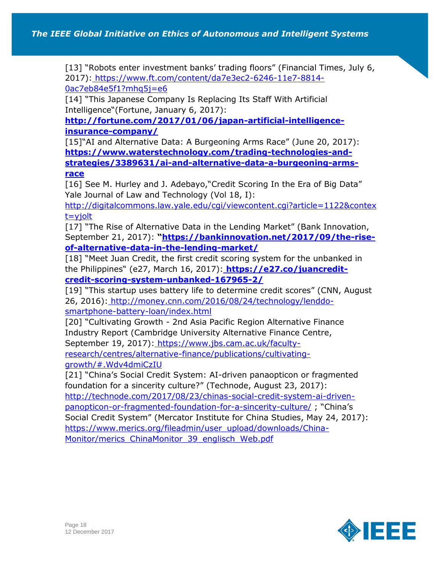[13] "Robots enter investment banks' trading floors" (Financial Times, July 6, 2017): [https://www.ft.com/content/da7e3ec2-6246-11e7-8814-](https://www.ft.com/content/da7e3ec2-6246-11e7-8814-0ac7eb84e5f1?mhq5j=e6) [0ac7eb84e5f1?mhq5j=e6](https://www.ft.com/content/da7e3ec2-6246-11e7-8814-0ac7eb84e5f1?mhq5j=e6)

[14] "This Japanese Company Is Replacing Its Staff With Artificial Intelligence"(Fortune, January 6, 2017)[:](http://fortune.com/2017/01/06/japan-artificial-intelligence-insurance-company/)

**[http://fortune.com/2017/01/06/japan-artificial-intelligence](http://fortune.com/2017/01/06/japan-artificial-intelligence-insurance-company/)[insurance-company/](http://fortune.com/2017/01/06/japan-artificial-intelligence-insurance-company/)**

[15]"AI and Alternative Data: A Burgeoning Arms Race" (June 20, 2017)[:](https://www.waterstechnology.com/trading-technologies-and-strategies/3389631/ai-and-alternative-data-a-burgeoning-arms-race) **[https://www.waterstechnology.com/trading-technologies-and](https://www.waterstechnology.com/trading-technologies-and-strategies/3389631/ai-and-alternative-data-a-burgeoning-arms-race)[strategies/3389631/ai-and-alternative-data-a-burgeoning-arms](https://www.waterstechnology.com/trading-technologies-and-strategies/3389631/ai-and-alternative-data-a-burgeoning-arms-race)[race](https://www.waterstechnology.com/trading-technologies-and-strategies/3389631/ai-and-alternative-data-a-burgeoning-arms-race)**

[16] See M. Hurley and J. Adebayo,"Credit Scoring In the Era of Big Data" Yale Journal of Law and Technology (Vol 18, I)[:](http://digitalcommons.law.yale.edu/cgi/viewcontent.cgi?article=1122&context=yjolt)

[http://digitalcommons.law.yale.edu/cgi/viewcontent.cgi?article=1122&contex](http://digitalcommons.law.yale.edu/cgi/viewcontent.cgi?article=1122&context=yjolt) [t=yjolt](http://digitalcommons.law.yale.edu/cgi/viewcontent.cgi?article=1122&context=yjolt)

[17] "The Rise of Alternative Data in the Lending Market" (Bank Innovation, September 21, 2017): **"[https://bankinnovation.net/2017/09/the-rise](https://bankinnovation.net/2017/09/the-rise-of-alternative-data-in-the-lending-market/)[of-alternative-data-in-the-lending-market/](https://bankinnovation.net/2017/09/the-rise-of-alternative-data-in-the-lending-market/)**

[18] "Meet Juan Credit, the first credit scoring system for the unbanked in the Philippines" (e27, March 16, 2017): **[https://e27.co/juancredit](https://e27.co/juancredit-credit-scoring-system-unbanked-167965-2/)[credit-scoring-system-unbanked-167965-2/](https://e27.co/juancredit-credit-scoring-system-unbanked-167965-2/)**

[19] "This startup uses battery life to determine credit scores" (CNN, August 26, 2016): [http://money.cnn.com/2016/08/24/technology/lenddo](http://money.cnn.com/2016/08/24/technology/lenddo-smartphone-battery-loan/index.html)[smartphone-battery-loan/index.html](http://money.cnn.com/2016/08/24/technology/lenddo-smartphone-battery-loan/index.html)

[20] "Cultivating Growth - 2nd Asia Pacific Region Alternative Finance Industry Report (Cambridge University Alternative Finance Centre, September 19, 2017)[:](https://www.jbs.cam.ac.uk/faculty-research/centres/alternative-finance/publications/cultivating-growth/#.Wdv4dmiCzIU) [https://www.jbs.cam.ac.uk/faculty](https://www.jbs.cam.ac.uk/faculty-research/centres/alternative-finance/publications/cultivating-growth/#.Wdv4dmiCzIU)[research/centres/alternative-finance/publications/cultivating](https://www.jbs.cam.ac.uk/faculty-research/centres/alternative-finance/publications/cultivating-growth/#.Wdv4dmiCzIU)[growth/#.Wdv4dmiCzIU](https://www.jbs.cam.ac.uk/faculty-research/centres/alternative-finance/publications/cultivating-growth/#.Wdv4dmiCzIU)

[21] "China's Social Credit System: AI-driven panaopticon or fragmented foundation for a sincerity culture?" (Technode, August 23, 2017)[:](http://technode.com/2017/08/23/chinas-social-credit-system-ai-driven-panopticon-or-fragmented-foundation-for-a-sincerity-culture/) [http://technode.com/2017/08/23/chinas-social-credit-system-ai-driven](http://technode.com/2017/08/23/chinas-social-credit-system-ai-driven-panopticon-or-fragmented-foundation-for-a-sincerity-culture/)[panopticon-or-fragmented-foundation-for-a-sincerity-culture/](http://technode.com/2017/08/23/chinas-social-credit-system-ai-driven-panopticon-or-fragmented-foundation-for-a-sincerity-culture/) ; "China's Social Credit System" (Mercator Institute for China Studies, May 24, 2017)[:](https://www.merics.org/fileadmin/user_upload/downloads/China-Monitor/merics_ChinaMonitor_39_englisch_Web.pdf) [https://www.merics.org/fileadmin/user\\_upload/downloads/China-](https://www.merics.org/fileadmin/user_upload/downloads/China-Monitor/merics_ChinaMonitor_39_englisch_Web.pdf)Monitor/merics ChinaMonitor 39 englisch Web.pdf

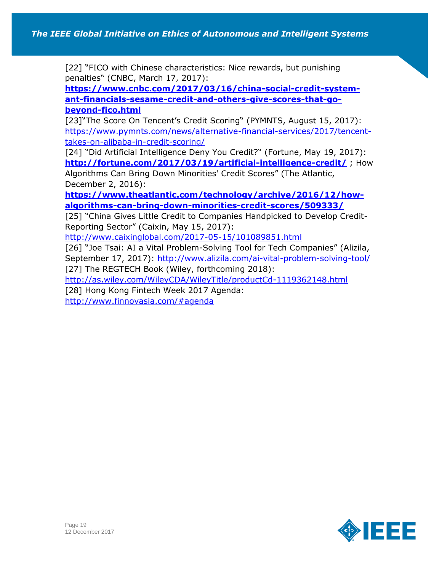[22] "FICO with Chinese characteristics: Nice rewards, but punishing penalties" (CNBC, March 17, 2017)[:](https://www.cnbc.com/2017/03/16/china-social-credit-system-ant-financials-sesame-credit-and-others-give-scores-that-go-beyond-fico.html)

**[https://www.cnbc.com/2017/03/16/china-social-credit-system](https://www.cnbc.com/2017/03/16/china-social-credit-system-ant-financials-sesame-credit-and-others-give-scores-that-go-beyond-fico.html)[ant-financials-sesame-credit-and-others-give-scores-that-go](https://www.cnbc.com/2017/03/16/china-social-credit-system-ant-financials-sesame-credit-and-others-give-scores-that-go-beyond-fico.html)[beyond-fico.html](https://www.cnbc.com/2017/03/16/china-social-credit-system-ant-financials-sesame-credit-and-others-give-scores-that-go-beyond-fico.html)**

[23]"The Score On Tencent's Credit Scoring" (PYMNTS, August 15, 2017)[:](https://www.pymnts.com/news/alternative-financial-services/2017/tencent-takes-on-alibaba-in-credit-scoring/) [https://www.pymnts.com/news/alternative-financial-services/2017/tencent](https://www.pymnts.com/news/alternative-financial-services/2017/tencent-takes-on-alibaba-in-credit-scoring/)[takes-on-alibaba-in-credit-scoring/](https://www.pymnts.com/news/alternative-financial-services/2017/tencent-takes-on-alibaba-in-credit-scoring/)

[24] "Did Artificial Intelligence Deny You Credit?" (Fortune, May 19, 2017)[:](http://fortune.com/2017/03/19/artificial-intelligence-credit/%20%20/) **[http://fortune.com/2017/03/19/artificial-intelligence-credit/](http://fortune.com/2017/03/19/artificial-intelligence-credit/%20%20/)** ; How Algorithms Can Bring Down Minorities' Credit Scores" (The Atlantic, December 2, 2016)[:](https://www.theatlantic.com/technology/archive/2016/12/how-algorithms-can-bring-down-minorities-credit-scores/509333/)

**[https://www.theatlantic.com/technology/archive/2016/12/how](https://www.theatlantic.com/technology/archive/2016/12/how-algorithms-can-bring-down-minorities-credit-scores/509333/)[algorithms-can-bring-down-minorities-credit-scores/509333/](https://www.theatlantic.com/technology/archive/2016/12/how-algorithms-can-bring-down-minorities-credit-scores/509333/)**

[25] "China Gives Little Credit to Companies Handpicked to Develop Credit-Reporting Sector" (Caixin, May 15, 2017)[:](http://www.caixinglobal.com/2017-05-15/101089851.html)

<http://www.caixinglobal.com/2017-05-15/101089851.html>

[26] "Joe Tsai: AI a Vital Problem-Solving Tool for Tech Companies" (Alizila, September 17, 2017)[:](http://www.alizila.com/ai-vital-problem-solving-tool/) <http://www.alizila.com/ai-vital-problem-solving-tool/>

[27] The REGTECH Book (Wiley, forthcoming 2018)[:](http://as.wiley.com/WileyCDA/WileyTitle/productCd-1119362148.html)

<http://as.wiley.com/WileyCDA/WileyTitle/productCd-1119362148.html>

[28]Hong Kong Fintech Week 2017 Agenda:

<http://www.finnovasia.com/#agenda>

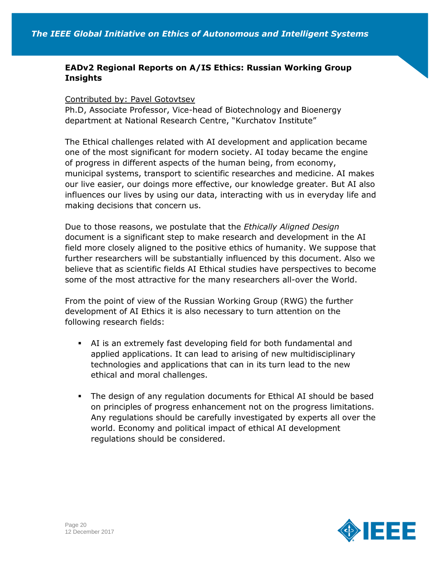# **EADv2 Regional Reports on A/IS Ethics: Russian Working Group Insights**

#### Contributed by: Pavel Gotovtsev

Ph.D, Associate Professor, Vice-head of Biotechnology and Bioenergy department at National Research Centre, "Kurchatov Institute"

The Ethical challenges related with AI development and application became one of the most significant for modern society. AI today became the engine of progress in different aspects of the human being, from economy, municipal systems, transport to scientific researches and medicine. AI makes our live easier, our doings more effective, our knowledge greater. But AI also influences our lives by using our data, interacting with us in everyday life and making decisions that concern us.

Due to those reasons, we postulate that the *Ethically Aligned Design* document is a significant step to make research and development in the AI field more closely aligned to the positive ethics of humanity. We suppose that further researchers will be substantially influenced by this document. Also we believe that as scientific fields AI Ethical studies have perspectives to become some of the most attractive for the many researchers all-over the World.

From the point of view of the Russian Working Group (RWG) the further development of AI Ethics it is also necessary to turn attention on the following research fields:

- AI is an extremely fast developing field for both fundamental and applied applications. It can lead to arising of new multidisciplinary technologies and applications that can in its turn lead to the new ethical and moral challenges.
- The design of any regulation documents for Ethical AI should be based on principles of progress enhancement not on the progress limitations. Any regulations should be carefully investigated by experts all over the world. Economy and political impact of ethical AI development regulations should be considered.

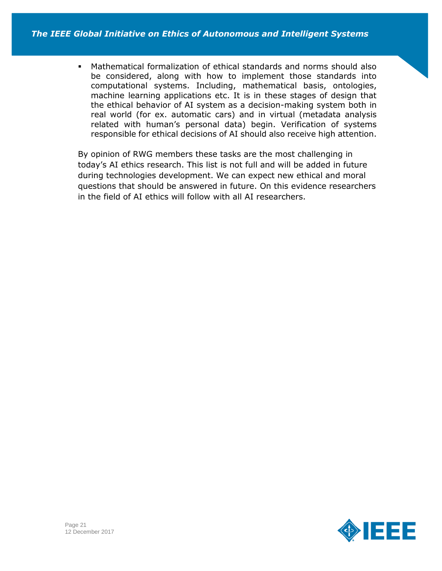Mathematical formalization of ethical standards and norms should also be considered, along with how to implement those standards into computational systems. Including, mathematical basis, ontologies, machine learning applications etc. It is in these stages of design that the ethical behavior of AI system as a decision-making system both in real world (for ex. automatic cars) and in virtual (metadata analysis related with human's personal data) begin. Verification of systems responsible for ethical decisions of AI should also receive high attention.

By opinion of RWG members these tasks are the most challenging in today's AI ethics research. This list is not full and will be added in future during technologies development. We can expect new ethical and moral questions that should be answered in future. On this evidence researchers in the field of AI ethics will follow with all AI researchers.

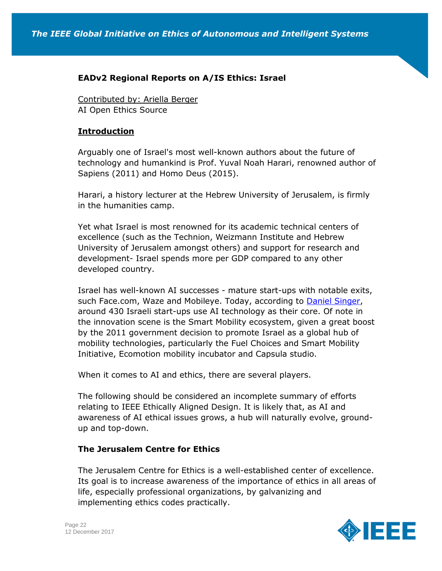### **EADv2 Regional Reports on A/IS Ethics: Israel**

Contributed by: Ariella Berger AI Open Ethics Source

#### **Introduction**

Arguably one of Israel's most well-known authors about the future of technology and humankind is Prof. Yuval Noah Harari, renowned author of Sapiens (2011) and Homo Deus (2015).

Harari, a history lecturer at the Hebrew University of Jerusalem, is firmly in the humanities camp.

Yet what Israel is most renowned for its academic technical centers of excellence (such as the Technion, Weizmann Institute and Hebrew University of Jerusalem amongst others) and support for research and development- Israel spends more per GDP compared to any other developed country.

Israel has well-known AI successes - mature start-ups with notable exits, such Face.com, Waze and Mobileye. Today, according to [Daniel Singer,](https://becominghuman.ai/the-artificial-intelligence-industry-is-expected-to-be-worth-59-8-965535c9958e) around 430 Israeli start-ups use AI technology as their core. Of note in the innovation scene is the Smart Mobility ecosystem, given a great boost by the 2011 government decision to promote Israel as a global hub of mobility technologies, particularly the Fuel Choices and Smart Mobility Initiative, Ecomotion mobility incubator and Capsula studio.

When it comes to AI and ethics, there are several players.

The following should be considered an incomplete summary of efforts relating to IEEE Ethically Aligned Design. It is likely that, as AI and awareness of AI ethical issues grows, a hub will naturally evolve, groundup and top-down.

### **The Jerusalem Centre for Ethics**

The Jerusalem Centre for Ethics is a well-established center of excellence. Its goal is to increase awareness of the importance of ethics in all areas of life, especially professional organizations, by galvanizing and implementing ethics codes practically.

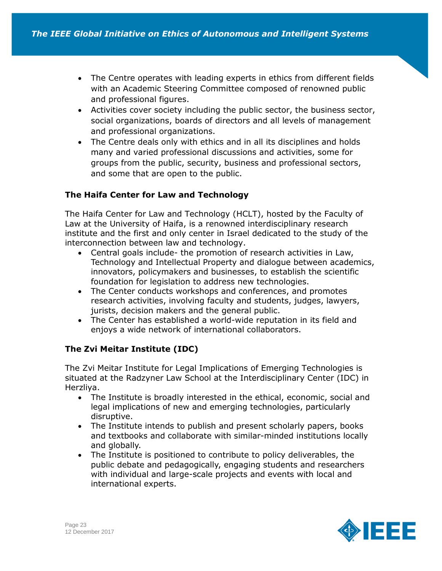- The Centre operates with leading experts in ethics from different fields with an Academic Steering Committee composed of renowned public and professional figures.
- Activities cover society including the public sector, the business sector, social organizations, boards of directors and all levels of management and professional organizations.
- The Centre deals only with ethics and in all its disciplines and holds many and varied professional discussions and activities, some for groups from the public, security, business and professional sectors, and some that are open to the public.

## **The Haifa Center for Law and Technology**

The Haifa Center for Law and Technology (HCLT), hosted by the Faculty of Law at the University of Haifa, is a renowned interdisciplinary research institute and the first and only center in Israel dedicated to the study of the interconnection between law and technology.

- Central goals include- the promotion of research activities in Law, Technology and Intellectual Property and dialogue between academics, innovators, policymakers and businesses, to establish the scientific foundation for legislation to address new technologies.
- The Center conducts workshops and conferences, and promotes research activities, involving faculty and students, judges, lawyers, jurists, decision makers and the general public.
- The Center has established a world-wide reputation in its field and enjoys a wide network of international collaborators.

# **The Zvi Meitar Institute (IDC)**

The Zvi Meitar Institute for Legal Implications of Emerging Technologies is situated at the Radzyner Law School at the Interdisciplinary Center (IDC) in Herzliya.

- The Institute is broadly interested in the ethical, economic, social and legal implications of new and emerging technologies, particularly disruptive.
- The Institute intends to publish and present scholarly papers, books and textbooks and collaborate with similar-minded institutions locally and globally.
- The Institute is positioned to contribute to policy deliverables, the public debate and pedagogically, engaging students and researchers with individual and large-scale projects and events with local and international experts.

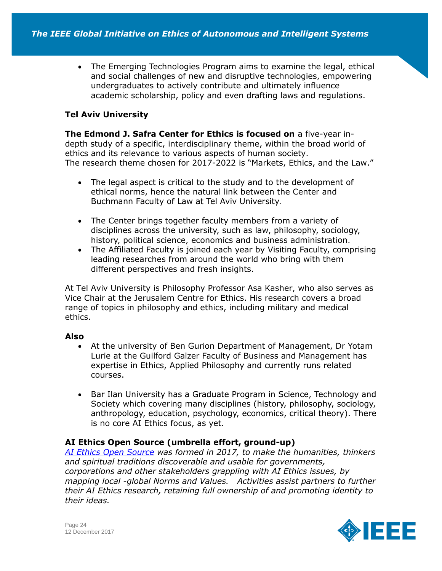The Emerging Technologies Program aims to examine the legal, ethical and social challenges of new and disruptive technologies, empowering undergraduates to actively contribute and ultimately influence academic scholarship, policy and even drafting laws and regulations.

# **Tel Aviv University**

**The Edmond J. Safra Center for Ethics is focused on** a five-year indepth study of a specific, interdisciplinary theme, within the broad world of ethics and its relevance to various aspects of human society. The research theme chosen for 2017-2022 is "Markets, Ethics, and the Law."

- The legal aspect is critical to the study and to the development of ethical norms, hence the natural link between the Center and Buchmann Faculty of Law at Tel Aviv University.
- The Center brings together faculty members from a variety of disciplines across the university, such as law, philosophy, sociology, history, political science, economics and business administration.
- The Affiliated Faculty is joined each year by Visiting Faculty, comprising leading researches from around the world who bring with them different perspectives and fresh insights.

At Tel Aviv University is Philosophy Professor Asa Kasher, who also serves as Vice Chair at the Jerusalem Centre for Ethics. His research covers a broad range of topics in philosophy and ethics, including military and medical ethics.

### **Also**

- At the university of Ben Gurion Department of Management, Dr Yotam Lurie at the Guilford Galzer Faculty of Business and Management has expertise in Ethics, Applied Philosophy and currently runs related courses.
- Bar Ilan University has a Graduate Program in Science, Technology and Society which covering many disciplines (history, philosophy, sociology, anthropology, education, psychology, economics, critical theory). There is no core AI Ethics focus, as yet.

# **AI Ethics Open Source (umbrella effort, ground-up)**

*[AI Ethics Open Source](https://www.aiethicsopensourceforum.com/) was formed in 2017, to make the humanities, thinkers and spiritual traditions discoverable and usable for governments, corporations and other stakeholders grappling with AI Ethics issues, by mapping local -global Norms and Values. Activities assist partners to further their AI Ethics research, retaining full ownership of and promoting identity to their ideas.*